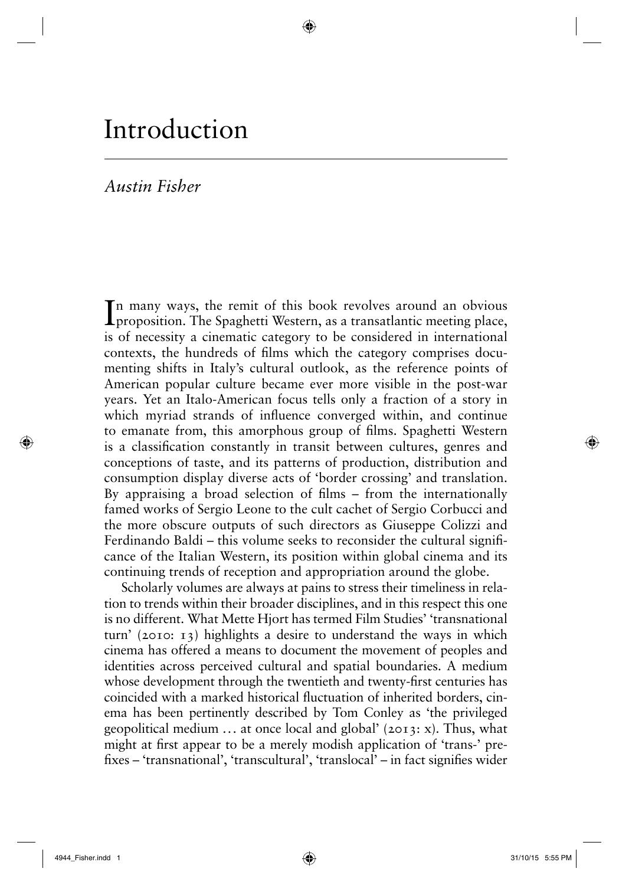# Introduction

# *Austin Fisher*

In many ways, the remit of this book revolves around an obvious proposition. The Spaghetti Western, as a transatlantic meeting place, n many ways, the remit of this book revolves around an obvious is of necessity a cinematic category to be considered in international contexts, the hundreds of films which the category comprises documenting shifts in Italy's cultural outlook, as the reference points of American popular culture became ever more visible in the post-war years. Yet an Italo-American focus tells only a fraction of a story in which myriad strands of influence converged within, and continue to emanate from, this amorphous group of films. Spaghetti Western is a classification constantly in transit between cultures, genres and conceptions of taste, and its patterns of production, distribution and consumption display diverse acts of 'border crossing' and translation. By appraising a broad selection of films  $-$  from the internationally famed works of Sergio Leone to the cult cachet of Sergio Corbucci and the more obscure outputs of such directors as Giuseppe Colizzi and Ferdinando Baldi – this volume seeks to reconsider the cultural significance of the Italian Western, its position within global cinema and its continuing trends of reception and appropriation around the globe.

◈

Scholarly volumes are always at pains to stress their timeliness in relation to trends within their broader disciplines, and in this respect this one is no different. What Mette Hjort has termed Film Studies' 'transnational turn' (2010: 13) highlights a desire to understand the ways in which cinema has offered a means to document the movement of peoples and identities across perceived cultural and spatial boundaries. A medium whose development through the twentieth and twenty-first centuries has coincided with a marked historical fluctuation of inherited borders, cinema has been pertinently described by Tom Conley as 'the privileged geopolitical medium  $\ldots$  at once local and global' (2013: x). Thus, what might at first appear to be a merely modish application of 'trans-' prefixes – 'transnational', 'transcultural', 'translocal' – in fact signifies wider

⊕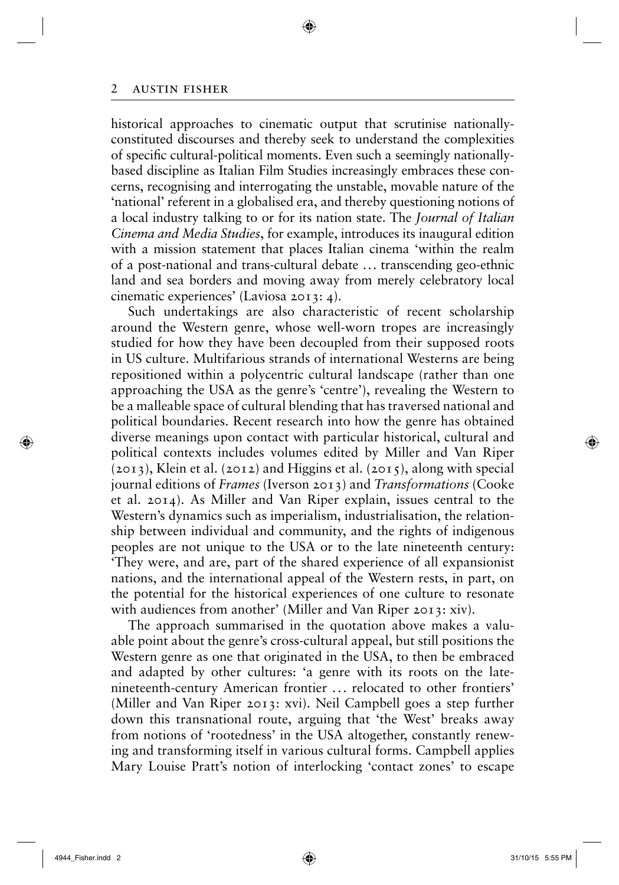historical approaches to cinematic output that scrutinise nationallyconstituted discourses and thereby seek to understand the complexities of specific cultural-political moments. Even such a seemingly nationallybased discipline as Italian Film Studies increasingly embraces these concerns, recognising and interrogating the unstable, movable nature of the 'national' referent in a globalised era, and thereby questioning notions of a local industry talking to or for its nation state. The *Journal of Italian Cinema and Media Studies*, for example, introduces its inaugural edition with a mission statement that places Italian cinema 'within the realm of a post-national and trans-cultural debate . . . transcending geo-ethnic land and sea borders and moving away from merely celebratory local cinematic experiences' (Laviosa 2013: 4).

◈

Such undertakings are also characteristic of recent scholarship around the Western genre, whose well-worn tropes are increasingly studied for how they have been decoupled from their supposed roots in US culture. Multifarious strands of international Westerns are being repositioned within a polycentric cultural landscape (rather than one approaching the USA as the genre's 'centre'), revealing the Western to be a malleable space of cultural blending that has traversed national and political boundaries. Recent research into how the genre has obtained diverse meanings upon contact with particular historical, cultural and political contexts includes volumes edited by Miller and Van Riper (2013), Klein et al. (2012) and Higgins et al. (2015), along with special journal editions of *Frames* (Iverson 2013) and *Transformations* (Cooke et al. 2014). As Miller and Van Riper explain, issues central to the Western's dynamics such as imperialism, industrialisation, the relationship between individual and community, and the rights of indigenous peoples are not unique to the USA or to the late nineteenth century: 'They were, and are, part of the shared experience of all expansionist nations, and the international appeal of the Western rests, in part, on the potential for the historical experiences of one culture to resonate with audiences from another' (Miller and Van Riper 2013: xiv).

The approach summarised in the quotation above makes a valuable point about the genre's cross-cultural appeal, but still positions the Western genre as one that originated in the USA, to then be embraced and adapted by other cultures: 'a genre with its roots on the latenineteenth-century American frontier ... relocated to other frontiers' (Miller and Van Riper 2013: xvi). Neil Campbell goes a step further down this transnational route, arguing that 'the West' breaks away from notions of 'rootedness' in the USA altogether, constantly renewing and transforming itself in various cultural forms. Campbell applies Mary Louise Pratt's notion of interlocking 'contact zones' to escape

⊕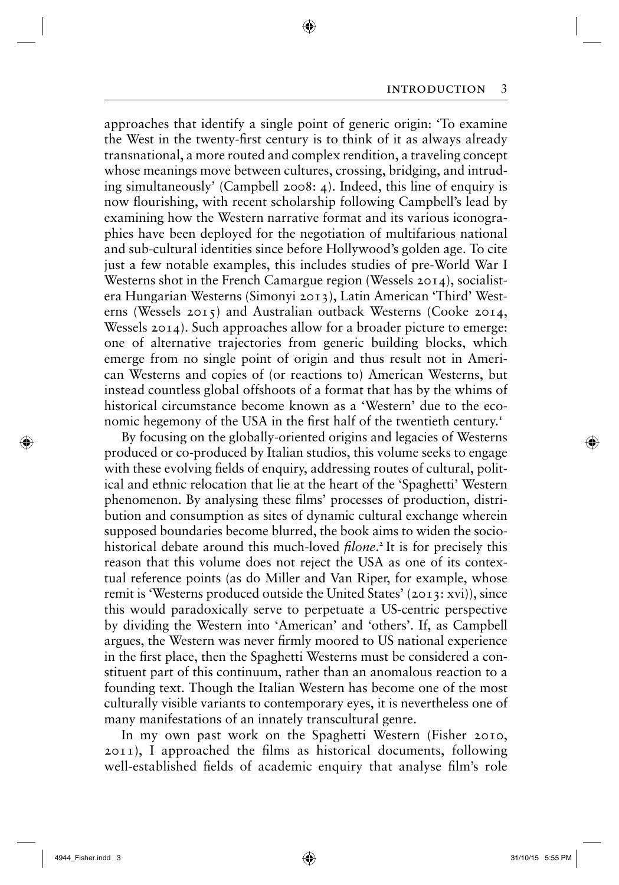approaches that identify a single point of generic origin: 'To examine the West in the twenty-first century is to think of it as always already transnational, a more routed and complex rendition, a traveling concept whose meanings move between cultures, crossing, bridging, and intruding simultaneously' (Campbell 2008: 4). Indeed, this line of enquiry is now flourishing, with recent scholarship following Campbell's lead by examining how the Western narrative format and its various iconographies have been deployed for the negotiation of multifarious national and sub-cultural identities since before Hollywood's golden age. To cite just a few notable examples, this includes studies of pre-World War I Westerns shot in the French Camargue region (Wessels 2014), socialistera Hungarian Westerns (Simonyi 2013), Latin American 'Third' Westerns (Wessels 2015) and Australian outback Westerns (Cooke 2014, Wessels 2014). Such approaches allow for a broader picture to emerge: one of alternative trajectories from generic building blocks, which emerge from no single point of origin and thus result not in American Westerns and copies of (or reactions to) American Westerns, but instead countless global offshoots of a format that has by the whims of historical circumstance become known as a 'Western' due to the economic hegemony of the USA in the first half of the twentieth century.<sup>1</sup>

◈

By focusing on the globally-oriented origins and legacies of Westerns produced or co-produced by Italian studios, this volume seeks to engage with these evolving fields of enquiry, addressing routes of cultural, political and ethnic relocation that lie at the heart of the 'Spaghetti' Western phenomenon. By analysing these films' processes of production, distribution and consumption as sites of dynamic cultural exchange wherein supposed boundaries become blurred, the book aims to widen the sociohistorical debate around this much-loved *filone*.<sup>2</sup> It is for precisely this reason that this volume does not reject the USA as one of its contextual reference points (as do Miller and Van Riper, for example, whose remit is 'Westerns produced outside the United States' (2013: xvi)), since this would paradoxically serve to perpetuate a US-centric perspective by dividing the Western into 'American' and 'others'. If, as Campbell argues, the Western was never firmly moored to US national experience in the first place, then the Spaghetti Westerns must be considered a constituent part of this continuum, rather than an anomalous reaction to a founding text. Though the Italian Western has become one of the most culturally visible variants to contemporary eyes, it is nevertheless one of many manifestations of an innately transcultural genre.

In my own past work on the Spaghetti Western (Fisher 2010,  $2011$ ), I approached the films as historical documents, following well-established fields of academic enquiry that analyse film's role

 $\bigcirc$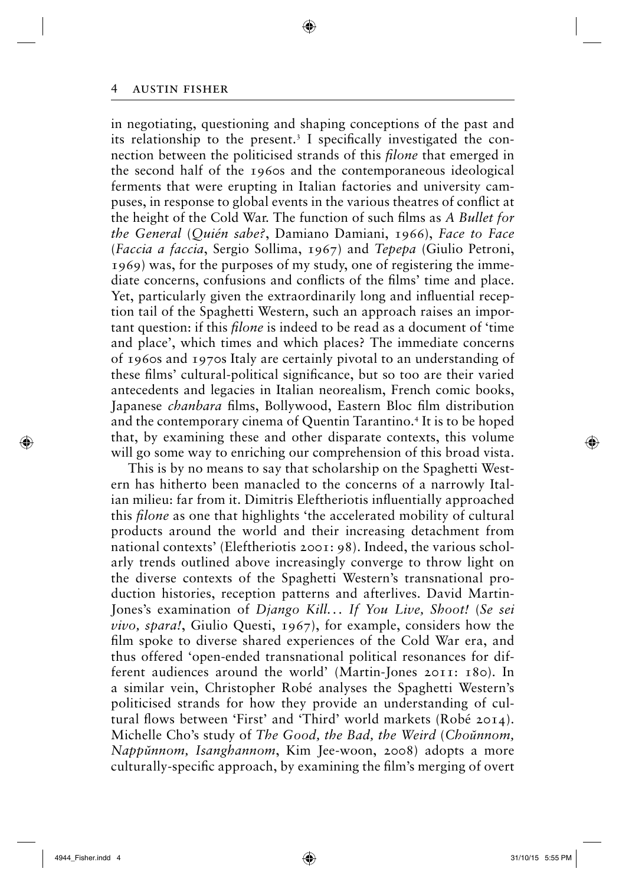in negotiating, questioning and shaping conceptions of the past and its relationship to the present.<sup>3</sup> I specifically investigated the connection between the politicised strands of this *filone* that emerged in the second half of the 1960s and the contemporaneous ideological ferments that were erupting in Italian factories and university campuses, in response to global events in the various theatres of conflict at the height of the Cold War. The function of such films as *A Bullet for the General* (*Quién sabe?*, Damiano Damiani, 1966), *Face to Face* (*Faccia a faccia*, Sergio Sollima, 1967) and *Tepepa* (Giulio Petroni, 1969) was, for the purposes of my study, one of registering the immediate concerns, confusions and conflicts of the films' time and place. Yet, particularly given the extraordinarily long and influential reception tail of the Spaghetti Western, such an approach raises an important question: if this *filone* is indeed to be read as a document of 'time and place', which times and which places? The immediate concerns of 1960s and 1970s Italy are certainly pivotal to an understanding of these films' cultural-political significance, but so too are their varied antecedents and legacies in Italian neorealism, French comic books, Japanese *chanbara* films, Bollywood, Eastern Bloc film distribution and the contemporary cinema of Quentin Tarantino.<sup>4</sup> It is to be hoped that, by examining these and other disparate contexts, this volume will go some way to enriching our comprehension of this broad vista.

◈

This is by no means to say that scholarship on the Spaghetti Western has hitherto been manacled to the concerns of a narrowly Italian milieu: far from it. Dimitris Eleftheriotis influentially approached this *filone* as one that highlights 'the accelerated mobility of cultural products around the world and their increasing detachment from national contexts' (Eleftheriotis 2001: 98). Indeed, the various scholarly trends outlined above increasingly converge to throw light on the diverse contexts of the Spaghetti Western's transnational production histories, reception patterns and afterlives. David Martin-Jones's examination of *Django Kill. . . If You Live, Shoot!* (*Se sei vivo, spara!*, Giulio Questi, 1967), for example, considers how the film spoke to diverse shared experiences of the Cold War era, and thus offered 'open-ended transnational political resonances for different audiences around the world' (Martin-Jones 2011: 180). In a similar vein, Christopher Robé analyses the Spaghetti Western's politicised strands for how they provide an understanding of cultural flows between 'First' and 'Third' world markets (Robé 2014). Michelle Cho's study of *The Good, the Bad, the Weird* (*Choŭnnom, Nappŭnnom, Isanghannom*, Kim Jee-woon, 2008) adopts a more culturally-specific approach, by examining the film's merging of overt

⊕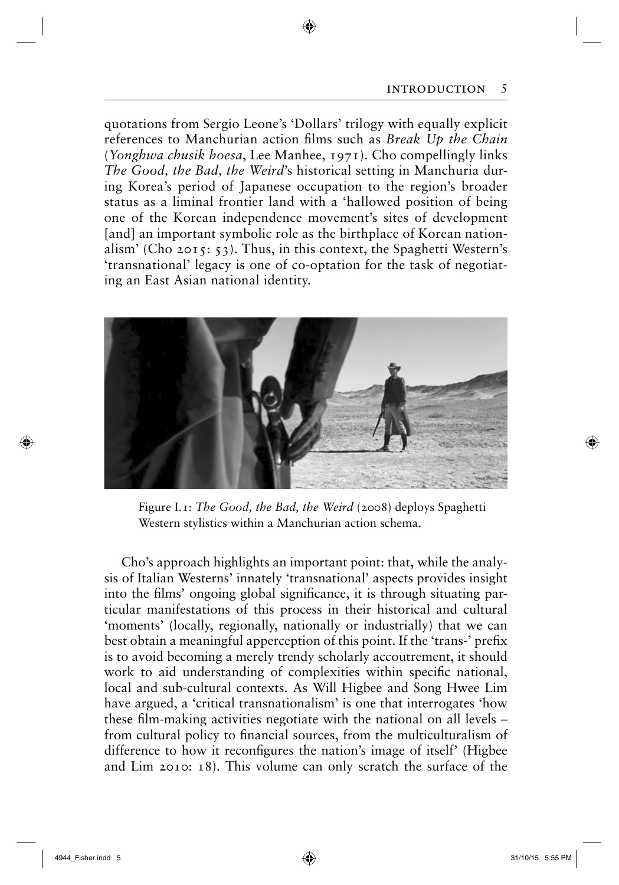quotations from Sergio Leone's 'Dollars' trilogy with equally explicit references to Manchurian action films such as *Break Up the Chain* (*Yonghwa chusik hoesa*, Lee Manhee, 1971). Cho compellingly links *The Good, the Bad, the Weird*'s historical setting in Manchuria during Korea's period of Japanese occupation to the region's broader status as a liminal frontier land with a 'hallowed position of being one of the Korean independence movement's sites of development [and] an important symbolic role as the birthplace of Korean nationalism' (Cho 2015: 53). Thus, in this context, the Spaghetti Western's 'transnational' legacy is one of co-optation for the task of negotiating an East Asian national identity.

◈



Figure I.1: *The Good, the Bad, the Weird* (2008) deploys Spaghetti Western stylistics within a Manchurian action schema.

Cho's approach highlights an important point: that, while the analysis of Italian Westerns' innately 'transnational' aspects provides insight into the films' ongoing global significance, it is through situating particular manifestations of this process in their historical and cultural 'moments' (locally, regionally, nationally or industrially) that we can best obtain a meaningful apperception of this point. If the 'trans-' prefix is to avoid becoming a merely trendy scholarly accoutrement, it should work to aid understanding of complexities within specific national, local and sub-cultural contexts. As Will Higbee and Song Hwee Lim have argued, a 'critical transnationalism' is one that interrogates 'how these film-making activities negotiate with the national on all levels  $$ from cultural policy to financial sources, from the multiculturalism of difference to how it reconfigures the nation's image of itself' (Higbee and Lim 2010: 18). This volume can only scratch the surface of the

 $\bigcirc$ 

 $\Leftrightarrow$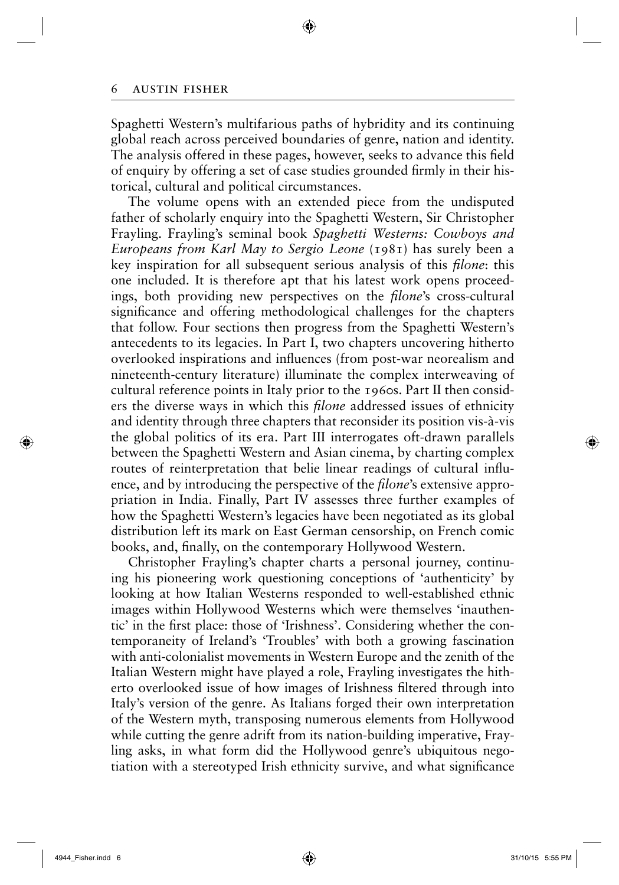Spaghetti Western's multifarious paths of hybridity and its continuing global reach across perceived boundaries of genre, nation and identity. The analysis offered in these pages, however, seeks to advance this field of enquiry by offering a set of case studies grounded firmly in their historical, cultural and political circumstances.

◈

The volume opens with an extended piece from the undisputed father of scholarly enquiry into the Spaghetti Western, Sir Christopher Frayling. Frayling's seminal book *Spaghetti Westerns: Cowboys and Europeans from Karl May to Sergio Leone* (1981) has surely been a key inspiration for all subsequent serious analysis of this *filone*: this one included. It is therefore apt that his latest work opens proceedings, both providing new perspectives on the *filone*'s cross-cultural significance and offering methodological challenges for the chapters that follow. Four sections then progress from the Spaghetti Western's antecedents to its legacies. In Part I, two chapters uncovering hitherto overlooked inspirations and influences (from post-war neorealism and nineteenth-century literature) illuminate the complex interweaving of cultural reference points in Italy prior to the 1960s. Part II then considers the diverse ways in which this *filone* addressed issues of ethnicity and identity through three chapters that reconsider its position vis-à-vis the global politics of its era. Part III interrogates oft-drawn parallels between the Spaghetti Western and Asian cinema, by charting complex routes of reinterpretation that belie linear readings of cultural influence, and by introducing the perspective of the *filone*'s extensive appropriation in India. Finally, Part IV assesses three further examples of how the Spaghetti Western's legacies have been negotiated as its global distribution left its mark on East German censorship, on French comic books, and, finally, on the contemporary Hollywood Western.

Christopher Frayling's chapter charts a personal journey, continuing his pioneering work questioning conceptions of 'authenticity' by looking at how Italian Westerns responded to well-established ethnic images within Hollywood Westerns which were themselves 'inauthentic' in the first place: those of 'Irishness'. Considering whether the contemporaneity of Ireland's 'Troubles' with both a growing fascination with anti-colonialist movements in Western Europe and the zenith of the Italian Western might have played a role, Frayling investigates the hitherto overlooked issue of how images of Irishness filtered through into Italy's version of the genre. As Italians forged their own interpretation of the Western myth, transposing numerous elements from Hollywood while cutting the genre adrift from its nation-building imperative, Frayling asks, in what form did the Hollywood genre's ubiquitous negotiation with a stereotyped Irish ethnicity survive, and what significance

⊕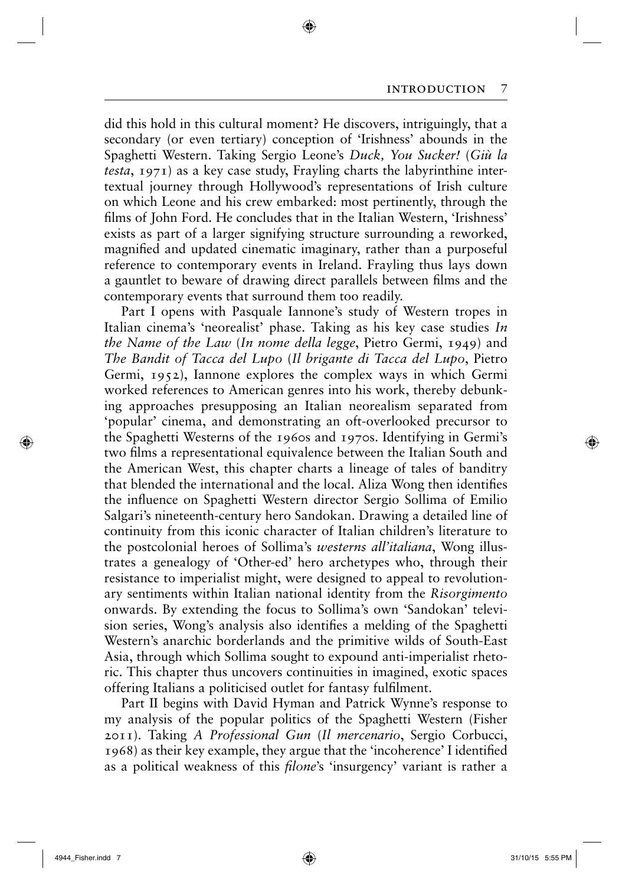did this hold in this cultural moment? He discovers, intriguingly, that a secondary (or even tertiary) conception of 'Irishness' abounds in the Spaghetti Western. Taking Sergio Leone's *Duck, You Sucker!* (*Giù la testa*, 1971) as a key case study, Frayling charts the labyrinthine intertextual journey through Hollywood's representations of Irish culture on which Leone and his crew embarked: most pertinently, through the films of John Ford. He concludes that in the Italian Western, 'Irishness' exists as part of a larger signifying structure surrounding a reworked, magnified and updated cinematic imaginary, rather than a purposeful reference to contemporary events in Ireland. Frayling thus lays down a gauntlet to beware of drawing direct parallels between films and the contemporary events that surround them too readily.

◈

Part I opens with Pasquale Iannone's study of Western tropes in Italian cinema's 'neorealist' phase. Taking as his key case studies *In the Name of the Law* (*In nome della legge*, Pietro Germi, 1949) and *The Bandit of Tacca del Lupo* (*Il brigante di Tacca del Lupo*, Pietro Germi, 1952), Iannone explores the complex ways in which Germi worked references to American genres into his work, thereby debunking approaches presupposing an Italian neorealism separated from 'popular' cinema, and demonstrating an oft-overlooked precursor to the Spaghetti Westerns of the 1960s and 1970s. Identifying in Germi's two films a representational equivalence between the Italian South and the American West, this chapter charts a lineage of tales of banditry that blended the international and the local. Aliza Wong then identifies the influence on Spaghetti Western director Sergio Sollima of Emilio Salgari's nineteenth-century hero Sandokan. Drawing a detailed line of continuity from this iconic character of Italian children's literature to the postcolonial heroes of Sollima's *westerns all'italiana*, Wong illustrates a genealogy of 'Other-ed' hero archetypes who, through their resistance to imperialist might, were designed to appeal to revolutionary sentiments within Italian national identity from the *Risorgimento*  onwards. By extending the focus to Sollima's own 'Sandokan' television series, Wong's analysis also identifies a melding of the Spaghetti Western's anarchic borderlands and the primitive wilds of South-East Asia, through which Sollima sought to expound anti-imperialist rhetoric. This chapter thus uncovers continuities in imagined, exotic spaces offering Italians a politicised outlet for fantasy fulfilment.

Part II begins with David Hyman and Patrick Wynne's response to my analysis of the popular politics of the Spaghetti Western (Fisher 2011). Taking *A Professional Gun* (*Il mercenario*, Sergio Corbucci, 1968) as their key example, they argue that the 'incoherence' I identified as a political weakness of this *filone*'s 'insurgency' variant is rather a

⊕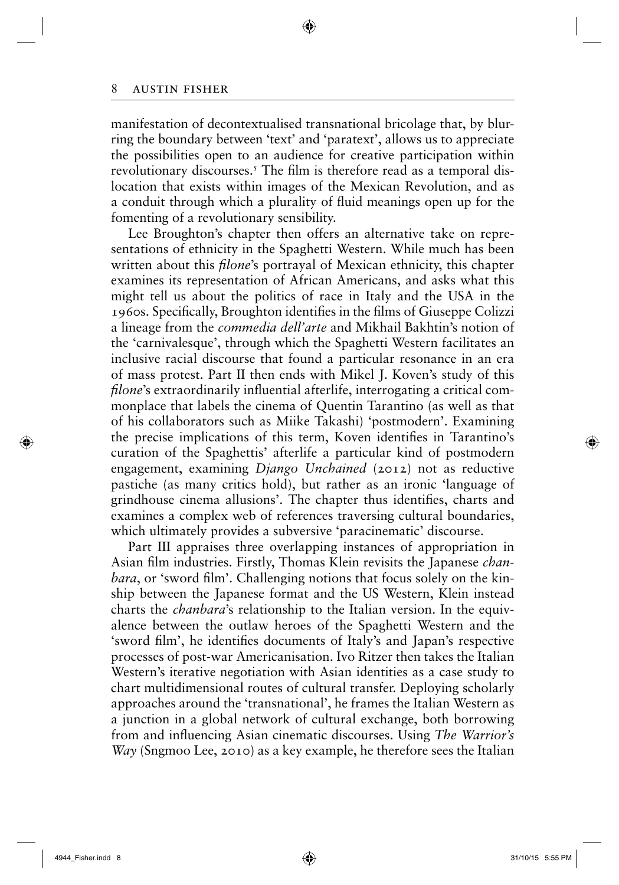manifestation of decontextualised transnational bricolage that, by blurring the boundary between 'text' and 'paratext', allows us to appreciate the possibilities open to an audience for creative participation within revolutionary discourses.<sup>5</sup> The film is therefore read as a temporal dislocation that exists within images of the Mexican Revolution, and as a conduit through which a plurality of fluid meanings open up for the fomenting of a revolutionary sensibility.

◈

Lee Broughton's chapter then offers an alternative take on representations of ethnicity in the Spaghetti Western. While much has been written about this *filone*'s portrayal of Mexican ethnicity, this chapter examines its representation of African Americans, and asks what this might tell us about the politics of race in Italy and the USA in the 1960s. Specifically, Broughton identifies in the films of Giuseppe Colizzi a lineage from the *commedia dell'arte* and Mikhail Bakhtin's notion of the 'carnivalesque', through which the Spaghetti Western facilitates an inclusive racial discourse that found a particular resonance in an era of mass protest. Part II then ends with Mikel J. Koven's study of this *filone*'s extraordinarily influential afterlife, interrogating a critical commonplace that labels the cinema of Quentin Tarantino (as well as that of his collaborators such as Miike Takashi) 'postmodern'. Examining the precise implications of this term, Koven identifies in Tarantino's curation of the Spaghettis' afterlife a particular kind of postmodern engagement, examining *Django Unchained* (2012) not as reductive pastiche (as many critics hold), but rather as an ironic 'language of grindhouse cinema allusions'. The chapter thus identifies, charts and examines a complex web of references traversing cultural boundaries, which ultimately provides a subversive 'paracinematic' discourse.

Part III appraises three overlapping instances of appropriation in Asian film industries. Firstly, Thomas Klein revisits the Japanese *chanbara*, or 'sword film'. Challenging notions that focus solely on the kinship between the Japanese format and the US Western, Klein instead charts the *chanbara*'s relationship to the Italian version. In the equivalence between the outlaw heroes of the Spaghetti Western and the 'sword film', he identifies documents of Italy's and Japan's respective processes of post-war Americanisation. Ivo Ritzer then takes the Italian Western's iterative negotiation with Asian identities as a case study to chart multidimensional routes of cultural transfer. Deploying scholarly approaches around the 'transnational', he frames the Italian Western as a junction in a global network of cultural exchange, both borrowing from and influencing Asian cinematic discourses. Using *The Warrior's Way* (Sngmoo Lee, 2010) as a key example, he therefore sees the Italian

⊕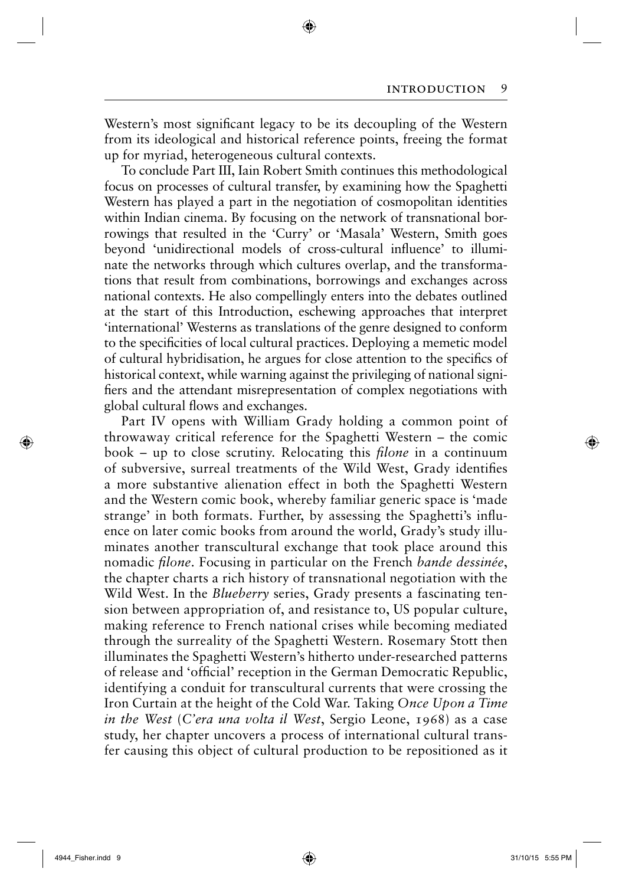Western's most significant legacy to be its decoupling of the Western from its ideological and historical reference points, freeing the format up for myriad, heterogeneous cultural contexts.

◈

To conclude Part III, Iain Robert Smith continues this methodological focus on processes of cultural transfer, by examining how the Spaghetti Western has played a part in the negotiation of cosmopolitan identities within Indian cinema. By focusing on the network of transnational borrowings that resulted in the 'Curry' or 'Masala' Western, Smith goes beyond 'unidirectional models of cross-cultural influence' to illuminate the networks through which cultures overlap, and the transformations that result from combinations, borrowings and exchanges across national contexts. He also compellingly enters into the debates outlined at the start of this Introduction, eschewing approaches that interpret 'international' Westerns as translations of the genre designed to conform to the specificities of local cultural practices. Deploying a memetic model of cultural hybridisation, he argues for close attention to the specifics of historical context, while warning against the privileging of national signifiers and the attendant misrepresentation of complex negotiations with global cultural flows and exchanges.

Part IV opens with William Grady holding a common point of throwaway critical reference for the Spaghetti Western – the comic book – up to close scrutiny. Relocating this *filone* in a continuum of subversive, surreal treatments of the Wild West, Grady identifies a more substantive alienation effect in both the Spaghetti Western and the Western comic book, whereby familiar generic space is 'made strange' in both formats. Further, by assessing the Spaghetti's influence on later comic books from around the world, Grady's study illuminates another transcultural exchange that took place around this nomadic *filone*. Focusing in particular on the French *bande dessinée*, the chapter charts a rich history of transnational negotiation with the Wild West. In the *Blueberry* series, Grady presents a fascinating tension between appropriation of, and resistance to, US popular culture, making reference to French national crises while becoming mediated through the surreality of the Spaghetti Western. Rosemary Stott then illuminates the Spaghetti Western's hitherto under-researched patterns of release and 'official' reception in the German Democratic Republic, identifying a conduit for transcultural currents that were crossing the Iron Curtain at the height of the Cold War. Taking *Once Upon a Time in the West* (*C'era una volta il West*, Sergio Leone, 1968) as a case study, her chapter uncovers a process of international cultural transfer causing this object of cultural production to be repositioned as it

 $\bigcirc$ 

 $\Leftrightarrow$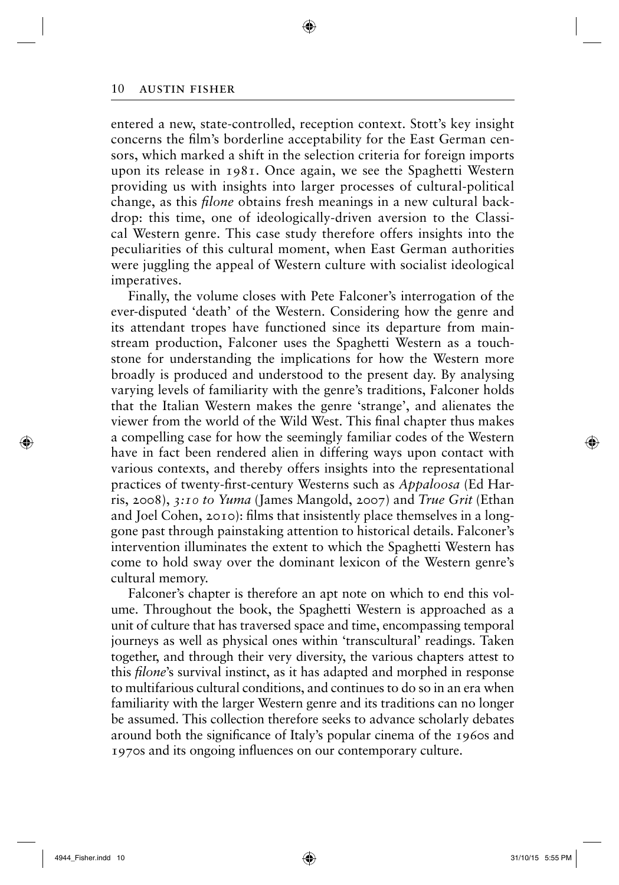entered a new, state-controlled, reception context. Stott's key insight concerns the film's borderline acceptability for the East German censors, which marked a shift in the selection criteria for foreign imports upon its release in 1981. Once again, we see the Spaghetti Western providing us with insights into larger processes of cultural-political change, as this *filone* obtains fresh meanings in a new cultural backdrop: this time, one of ideologically-driven aversion to the Classical Western genre. This case study therefore offers insights into the peculiarities of this cultural moment, when East German authorities were juggling the appeal of Western culture with socialist ideological imperatives.

◈

Finally, the volume closes with Pete Falconer's interrogation of the ever-disputed 'death' of the Western. Considering how the genre and its attendant tropes have functioned since its departure from mainstream production, Falconer uses the Spaghetti Western as a touchstone for understanding the implications for how the Western more broadly is produced and understood to the present day. By analysing varying levels of familiarity with the genre's traditions, Falconer holds that the Italian Western makes the genre 'strange', and alienates the viewer from the world of the Wild West. This final chapter thus makes a compelling case for how the seemingly familiar codes of the Western have in fact been rendered alien in differing ways upon contact with various contexts, and thereby offers insights into the representational practices of twenty-first-century Westerns such as *Appaloosa* (Ed Harris, 2008), *3:10 to Yuma* (James Mangold, 2007) and *True Grit* (Ethan and Joel Cohen, 2010): films that insistently place themselves in a longgone past through painstaking attention to historical details. Falconer's intervention illuminates the extent to which the Spaghetti Western has come to hold sway over the dominant lexicon of the Western genre's cultural memory.

Falconer's chapter is therefore an apt note on which to end this volume. Throughout the book, the Spaghetti Western is approached as a unit of culture that has traversed space and time, encompassing temporal journeys as well as physical ones within 'transcultural' readings. Taken together, and through their very diversity, the various chapters attest to this *filone*'s survival instinct, as it has adapted and morphed in response to multifarious cultural conditions, and continues to do so in an era when familiarity with the larger Western genre and its traditions can no longer be assumed. This collection therefore seeks to advance scholarly debates around both the significance of Italy's popular cinema of the 1960s and 1970s and its ongoing influences on our contemporary culture.

⊕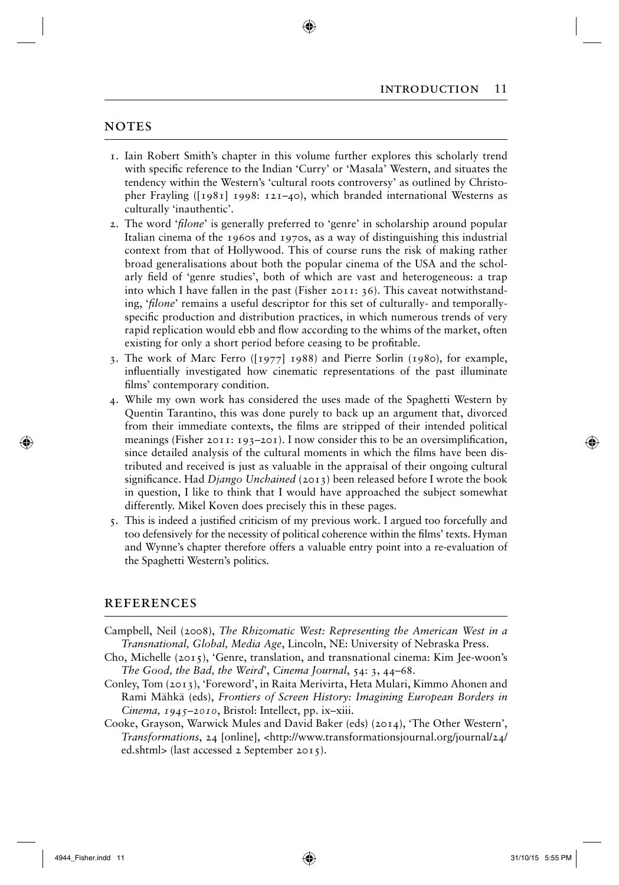## **NOTES**

- 1. Iain Robert Smith's chapter in this volume further explores this scholarly trend with specific reference to the Indian 'Curry' or 'Masala' Western, and situates the tendency within the Western's 'cultural roots controversy' as outlined by Christopher Frayling ( $[1981]$  1998:  $121–40$ ), which branded international Westerns as culturally 'inauthentic'.
- 2. The word *'filone'* is generally preferred to 'genre' in scholarship around popular Italian cinema of the 1960s and 1970s, as a way of distinguishing this industrial context from that of Hollywood. This of course runs the risk of making rather broad generalisations about both the popular cinema of the USA and the scholarly field of 'genre studies', both of which are vast and heterogeneous: a trap into which I have fallen in the past (Fisher 2011: 36). This caveat notwithstanding, '*filone*' remains a useful descriptor for this set of culturally- and temporallyspecific production and distribution practices, in which numerous trends of very rapid replication would ebb and flow according to the whims of the market, often existing for only a short period before ceasing to be profitable.
- 3. The work of Marc Ferro ([1977] 1988) and Pierre Sorlin (1980), for example, influentially investigated how cinematic representations of the past illuminate films' contemporary condition.
- 4. While my own work has considered the uses made of the Spaghetti Western by Quentin Tarantino, this was done purely to back up an argument that, divorced from their immediate contexts, the films are stripped of their intended political meanings (Fisher 2011: 193-201). I now consider this to be an oversimplification, since detailed analysis of the cultural moments in which the films have been distributed and received is just as valuable in the appraisal of their ongoing cultural significance. Had *Django Unchained* (2013) been released before I wrote the book in question, I like to think that I would have approached the subject somewhat differently. Mikel Koven does precisely this in these pages.
- 5. This is indeed a justified criticism of my previous work. I argued too forcefully and too defensively for the necessity of political coherence within the films' texts. Hyman and Wynne's chapter therefore offers a valuable entry point into a re-evaluation of the Spaghetti Western's politics.

#### **REFERENCES**

- Campbell, Neil (2008), *The Rhizomatic West: Representing the American West in a Transnational, Global, Media Age*, Lincoln, NE: University of Nebraska Press.
- Cho, Michelle (2015), 'Genre, translation, and transnational cinema: Kim Jee-woon's *The Good, the Bad, the Weird*', *Cinema Journal*, 54: 3, 44–68.
- Conley, Tom (2013), 'Foreword', in Raita Merivirta, Heta Mulari, Kimmo Ahonen and Rami Mähkä (eds), *Frontiers of Screen History: Imagining European Borders in Cinema, 1945–2010*, Bristol: Intellect, pp. ix–xiii.
- Cooke, Grayson, Warwick Mules and David Baker (eds) (2014), 'The Other Western', *Transformations*, 24 [online], <http://www.transformationsjournal.org/journal/24/ ed.shtml> (last accessed 2 September 2015).

 $\Leftrightarrow$ 

 $\Leftrightarrow$